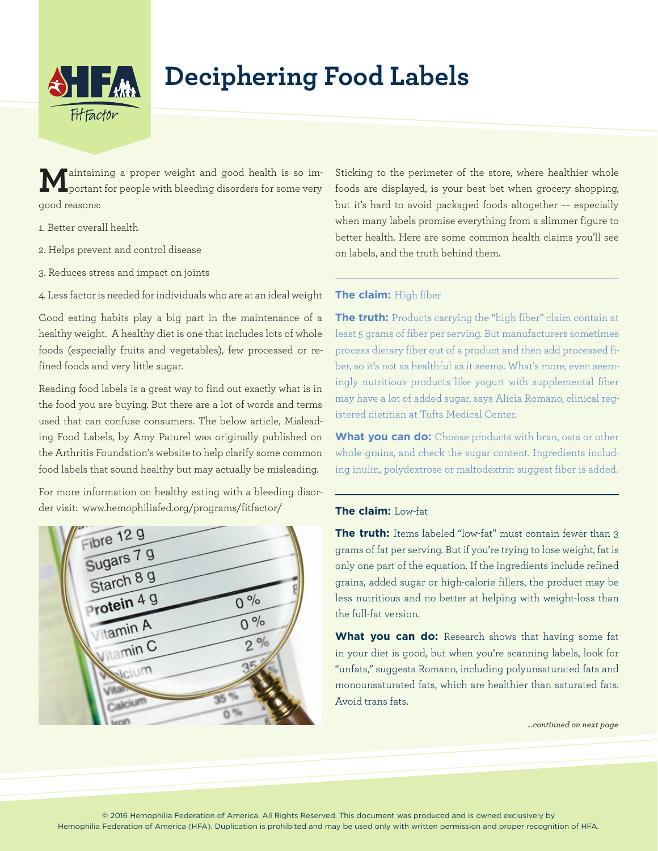

# **Deciphering Food Labels**

**M**aintaining a proper weight and good health is so im-portant for people with bleeding disorders for some very good reasons:

- 1. Better overall health
- 2. Helps prevent and control disease
- 3. Reduces stress and impact on joints

4. Less factor is needed for individuals who are at an ideal weight

Good eating habits play a big part in the maintenance of a healthy weight. A healthy diet is one that includes lots of whole foods (especially fruits and vegetables), few processed or refined foods and very little sugar.

Reading food labels is a great way to find out exactly what is in the food you are buying. But there are a lot of words and terms used that can confuse consumers. The below article, Misleading Food Labels, by Amy Paturel was originally published on the Arthritis Foundation's website to help clarify some common food labels that sound healthy but may actually be misleading.

For more information on healthy eating with a bleeding disorder visit: www.hemophiliafed.org/programs/fitfactor/



Sticking to the perimeter of the store, where healthier whole foods are displayed, is your best bet when grocery shopping, but it's hard to avoid packaged foods altogether -- especially when many labels promise everything from a slimmer figure to better health. Here are some common health claims you'll see on labels, and the truth behind them.

### **The claim:** High fiber

**The truth:** Products carrying the "high fiber" claim contain at least 5 grams of fiber per serving. But manufacturers sometimes process dietary fiber out of a product and then add processed fiber, so it's not as healthful as it seems. What's more, even seemingly nutritious products like yogurt with supplemental fiber may have a lot of added sugar, says Alicia Romano, clinical registered dietitian at Tufts Medical Center.

**What you can do:** Choose products with bran, oats or other whole grains, and check the sugar content. Ingredients including inulin, polydextrose or maltodextrin suggest fiber is added.

## **The claim:** Low-fat

**The truth:** Items labeled "low-fat" must contain fewer than 3 grams of fat per serving. But if you're trying to lose weight, fat is only one part of the equation. If the ingredients include refined grains, added sugar or high-calorie fillers, the product may be less nutritious and no better at helping with weight-loss than the full-fat version.

What you can do: Research shows that having some fat in your diet is good, but when you're scanning labels, look for "unfats," suggests Romano, including polyunsaturated fats and monounsaturated fats, which are healthier than saturated fats. Avoid trans fats.

*…continued on next page*